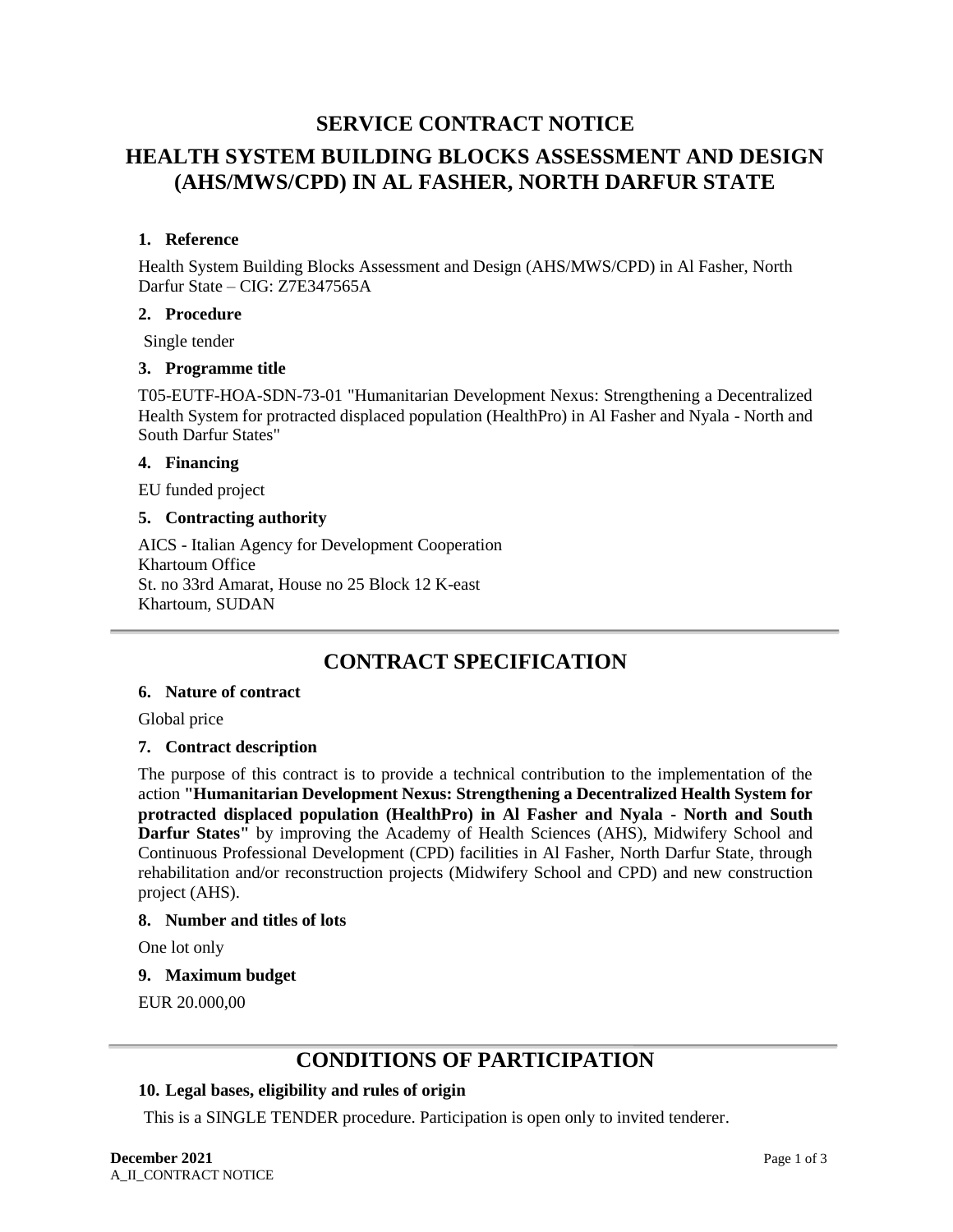# **SERVICE CONTRACT NOTICE**

# **HEALTH SYSTEM BUILDING BLOCKS ASSESSMENT AND DESIGN (AHS/MWS/CPD) IN AL FASHER, NORTH DARFUR STATE**

# **1. Reference**

Health System Building Blocks Assessment and Design (AHS/MWS/CPD) in Al Fasher, North Darfur State – CIG: Z7E347565A

# **2. Procedure**

Single tender

# **3. Programme title**

T05-EUTF-HOA-SDN-73-01 "Humanitarian Development Nexus: Strengthening a Decentralized Health System for protracted displaced population (HealthPro) in Al Fasher and Nyala - North and South Darfur States"

# **4. Financing**

EU funded project

# **5. Contracting authority**

AICS - Italian Agency for Development Cooperation Khartoum Office St. no 33rd Amarat, House no 25 Block 12 K-east Khartoum, SUDAN

# **CONTRACT SPECIFICATION**

### **6. Nature of contract**

Global price

# **7. Contract description**

The purpose of this contract is to provide a technical contribution to the implementation of the action **"Humanitarian Development Nexus: Strengthening a Decentralized Health System for protracted displaced population (HealthPro) in Al Fasher and Nyala - North and South Darfur States"** by improving the Academy of Health Sciences (AHS), Midwifery School and Continuous Professional Development (CPD) facilities in Al Fasher, North Darfur State, through rehabilitation and/or reconstruction projects (Midwifery School and CPD) and new construction project (AHS).

# **8. Number and titles of lots**

One lot only

# **9. Maximum budget**

EUR 20.000,00

# **CONDITIONS OF PARTICIPATION**

# **10. Legal bases, eligibility and rules of origin**

This is a SINGLE TENDER procedure. Participation is open only to invited tenderer.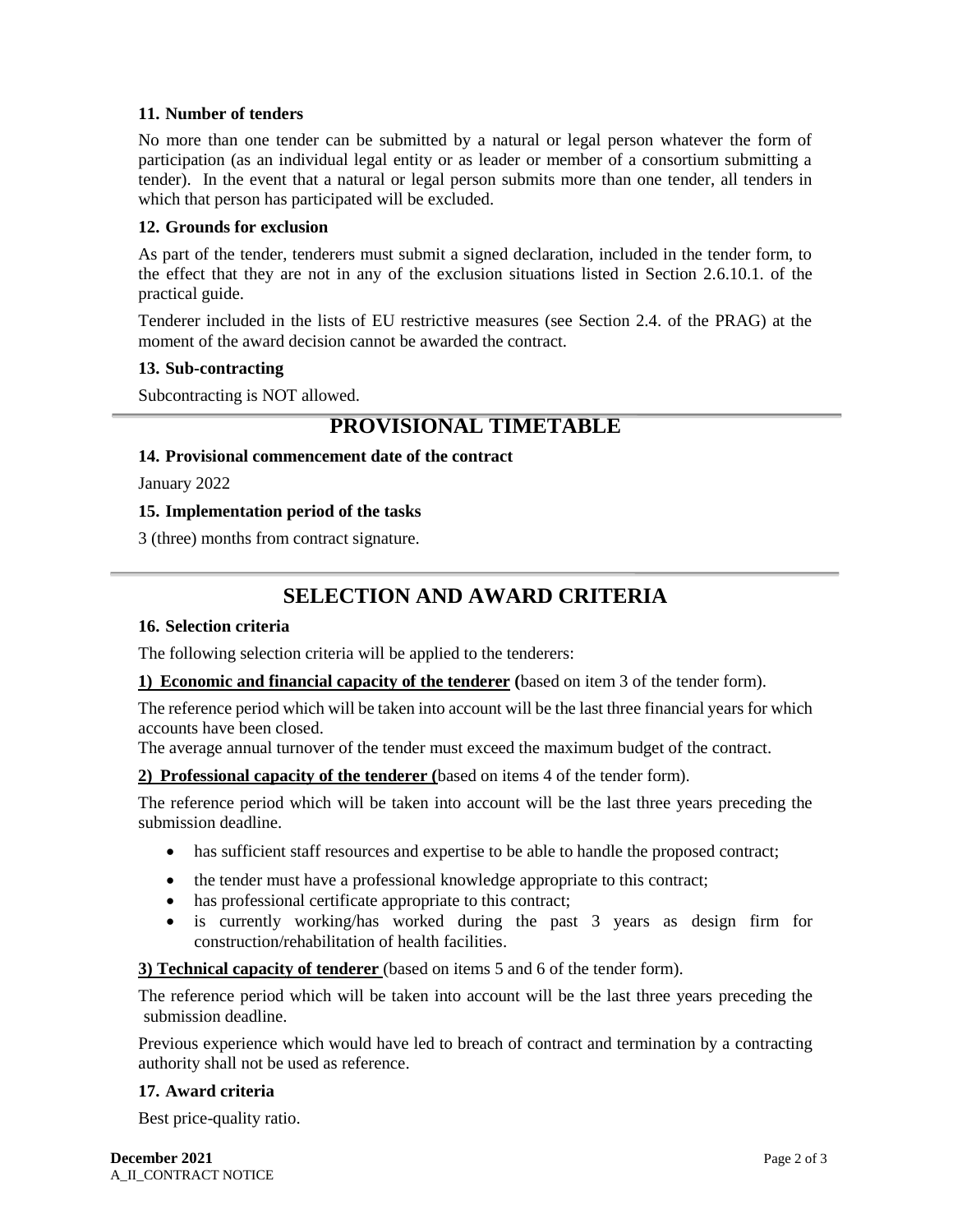# **11. Number of tenders**

No more than one tender can be submitted by a natural or legal person whatever the form of participation (as an individual legal entity or as leader or member of a consortium submitting a tender). In the event that a natural or legal person submits more than one tender, all tenders in which that person has participated will be excluded.

#### **12. Grounds for exclusion**

As part of the tender, tenderers must submit a signed declaration, included in the tender form, to the effect that they are not in any of the exclusion situations listed in Section 2.6.10.1. of the practical guide.

Tenderer included in the lists of EU restrictive measures (see Section 2.4. of the PRAG) at the moment of the award decision cannot be awarded the contract.

#### **13. Sub-contracting**

Subcontracting is NOT allowed.

# **PROVISIONAL TIMETABLE**

#### **14. Provisional commencement date of the contract**

January 2022

#### **15. Implementation period of the tasks**

3 (three) months from contract signature.

# **SELECTION AND AWARD CRITERIA**

#### **16. Selection criteria**

The following selection criteria will be applied to the tenderers:

# **1) Economic and financial capacity of the tenderer (**based on item 3 of the tender form).

The reference period which will be taken into account will be the last three financial years for which accounts have been closed.

The average annual turnover of the tender must exceed the maximum budget of the contract.

# **2) Professional capacity of the tenderer (**based on items 4 of the tender form).

The reference period which will be taken into account will be the last three years preceding the submission deadline.

- has sufficient staff resources and expertise to be able to handle the proposed contract;
- the tender must have a professional knowledge appropriate to this contract;
- has professional certificate appropriate to this contract;
- is currently working/has worked during the past 3 years as design firm for construction/rehabilitation of health facilities.

# **3) Technical capacity of tenderer** (based on items 5 and 6 of the tender form).

The reference period which will be taken into account will be the last three years preceding the submission deadline.

Previous experience which would have led to breach of contract and termination by a contracting authority shall not be used as reference.

#### **17. Award criteria**

Best price-quality ratio.